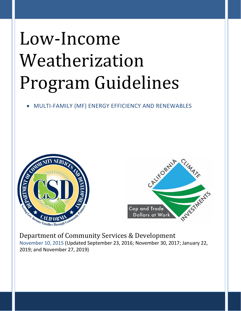# Low-Income Weatherization Program Guidelines

# • MULTI-FAMILY (MF) ENERGY EFFICIENCY AND RENEWABLES





Department of Community Services & Development November 10, 2015 (Updated September 23, 2016; November 30, 2017; January 22, 2019; and November 27, 2019)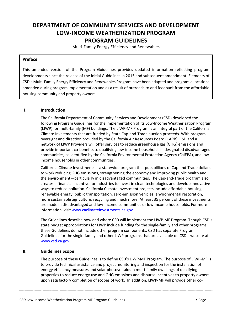# **DEPARTMENT OF COMMUNITY SERVICES AND DEVELOPMENT LOW-INCOME WEATHERIZATION PROGRAM PROGRAM GUIDELINES**

Multi-Family Energy Efficiency and Renewables

## **Preface**

 This amended version of the Program Guidelines provides updated information reflecting program developments since the release of the initial Guidelines in 2015 and subsequent amendment. Elements of CSD's Multi-Family Energy Efficiency and Renewables Program have been adapted and program allocations housing community and property owners. amended during program implementation and as a result of outreach to and feedback from the affordable

## **I. Introduction**

 The California Department of Community Services and Development (CSD) developed the following Program Guidelines for the implementation of its Low-Income Weatherization Program oversight and direction provided by the California Air Resources Board (CARB), CSD and a network of LIWP Providers will offer services to reduce greenhouse gas (GHG) emissions and provide important co-benefits to qualifying low-income households in designated disadvantaged communities*,* as identified by the California Environmental Protection Agency (CalEPA), and low-(LIWP) for multi-family (MF) buildings. The LIWP-MF Program is an integral part of the California Climate Investments that are funded by State Cap-and-Trade auction proceeds. With program income households in other communities.

 California Climate Investments is a statewide program that puts billions of Cap-and-Trade dollars the environment—particularly in disadvantaged communities. The Cap-and-Trade program also creates a financial incentive for industries to invest in clean technologies and develop innovative ways to reduce pollution. California Climate Investment projects include affordable housing, more sustainable agriculture, recycling and much more. At least 35 percent of these investments are made in disadvantaged and low-income communities or low-income households. For more to work reducing GHG emissions, strengthening the economy and improving public health and renewable energy, public transportation, zero-emission vehicles, environmental restoration, information, visit [www.caclimateinvestments.ca.gov.](http://www.caclimateinvestments.ca.gov)

 The Guidelines describe how and where CSD will implement the LIWP-MF Program. Though CSD's state budget appropriations for LIWP include funding for the single-family and other programs, Guidelines for the single-family and other LIWP programs that are available on CSD's website at these Guidelines do not include other program components. CSD has separate Program [www.csd.ca.gov](http://www.csd.ca.gov).

# **II. Guidelines Scope**

 The purpose of these Guidelines is to define CSD's LIWP-MF Program. The purpose of LIWP-MF is to provide technical assistance and project monitoring and inspection for the installation of properties to reduce energy use and GHG emissions and disburse incentives to property owners energy efficiency measures and solar photovoltaics in multi-family dwellings of qualifying upon satisfactory completion of scopes of work. In addition, LIWP-MF will provide other co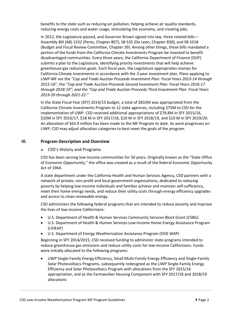reducing energy costs and water usage, stimulating the economy, and creating jobs. benefits to the state such as reducing air pollution, helping achieve air quality standards,

 Assembly Bill (AB) 1532 (Perez, Chapter 807), SB 535 (De Leon, Chapter 830), and SB 1018 disadvantaged communities. Every three years, the California Department of Finance (DOF)  LIWP-MF are the "*Cap and Trade Auction Proceeds Investment Plan: Fiscal Years 2013-14 through through 2018-19"; and the "Cap and Trade Auction Proceeds Third Investment Plan: Fiscal Years*  In 2012, the Legislature passed, and Governor Brown signed into law, three related bills— (Budget and Fiscal Review Committee, Chapter 39). Among other things, these bills mandated a portion of the funds from the California Climate Investments Program be invested to benefit submits a plan to the Legislature, identifying priority investments that will help achieve greenhouse gas reduction goals. Each fiscal year, the Legislature appropriates monies for California Climate Investments in accordance with the 3-year investment plan. Plans applying to *2015-16*"; the "*Cap and Trade Auction Proceeds Second Investment Plan: Fiscal Years 2016-17 2019-20 through 2021-22."* 

 In the State Fiscal Year (SFY) 2014/15 budget, a total of \$832M was appropriated from the California Climate Investments Program to 12 state agencies, including \$75M to CSD for the implementation of LIWP. CSD received additional appropriations of \$78.8M in SFY 2015/16, \$20M in SFY 2016/17, \$18 M in SFY 2017/18, \$10 M in SFY 2018/19, and \$10 M in SFY 2019/20. An allocation of \$63.9 million has been made to the MF Program to date. As work progresses on LIWP, CSD may adjust allocation categories to best meet the goals of the program.

#### **III. Program Description and Overview**

#### a. CSD's History and Programs

 CSD has been serving low-income communities for 50 years. Originally known as the "State Office of Economic Opportunity," the office was created as a result of the federal Economic Opportunity Act of 1964.

 meet their home energy needs, and reduce their utility costs through energy efficiency upgrades A state department under the California Health and Human Services Agency, CSD partners with a network of private, non-profit and local government organizations, dedicated to reducing poverty by helping low-income individuals and families achieve and maintain self-sufficiency, and access to clean renewable energy.

CSD administers the following federal programs that are intended to reduce poverty and improve the lives of low-income Californians:

- U.S. Department of Health & Human Services Community Services Block Grant (CSBG)
- • U.S. Department of Health & Human Services Low-Income Home Energy Assistance Program (LIHEAP)
- U.S. Department of Energy Weatherization Assistance Program (DOE WAP)

Beginning in SFY 2014/2015, CSD received funding to administer state programs intended to reduce greenhouse gas emissions and reduce utility costs for low-income Californians. Funds were initially allocated to the following programs:

 • LIWP Single-Family Energy Efficiency, Small Multi-Family Energy Efficiency and Single-Family Solar Photovoltaics Programs, subsequently redesigned as the LIWP Single-Family Energy Efficiency and Solar Photovoltaics Program with allocations from the SFY 2015/16 appropriation, and as the Farmworker Housing Component with SFY 2017/18 and 2018/19 allocations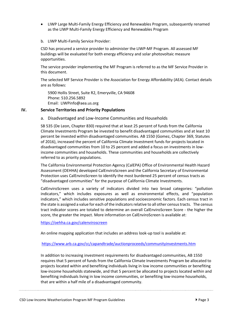- as the LIWP Multi-Family Energy Efficiency and Renewables Program • LIWP Large Multi-Family Energy Efficiency and Renewables Program, subsequently renamed
- b. LIWP Multi-Family Service Provider:

 CSD has procured a service provider to administer the LIWP-MF Program. All assessed MF buildings will be evaluated for both energy efficiency and solar photovoltaic measure opportunities.

 The service provider implementing the MF Program is referred to as the MF Service Provider in this document.

this document.<br>The selected MF Service Provider is the Association for Energy Affordability (AEA). Contact details are as follows:

 Email: [LIWPinfo@aea.us.org](mailto:LIWPinfo@aea.us.org)  5900 Hollis Street, Suite R2, Emeryville, CA 94608 Phone: 510.256.5892

#### **IV. Service Territories and Priority Populations**

#### a. Disadvantaged and Low-Income Communities and Households

 Climate Investments Program be invested to benefit disadvantaged communities and at least 10 percent be invested within disadvantaged communities. AB 1550 (Gomez, Chapter 369, Statutes of 2016), increased the percent of California Climate Investment funds for projects located in disadvantaged communities from 10 to 25 percent and added a focus on investments in low-SB 535 (De Leon, Chapter 830) required that at least 25 percent of funds from the California income communities and households. These communities and households are collectively referred to as priority populations.

 Assessment (OEHHA) developed CalEnviroScreen and the California Secretary of Environmental Protection uses CalEnviroScreen to identify the most burdened 25 percent of census tracts as "disadvantaged communities" for the purpose of California Climate Investments. The California Environmental Protection Agency (CalEPA) Office of Environmental Health Hazard

 CalEnviroScreen uses a variety of indicators divided into two broad categories: "pollution indicators," which includes exposures as well as environmental effects, and "population the state is assigned a value for each of the indicators relative to all other census tracts. The census tract indicator scores are totaled to determine an overall CalEnviroScreen Score - the higher the score, the greater the impact. More information on CalEnviroScreen is available at: indicators," which includes sensitive populations and socioeconomic factors. Each census tract in

<https://oehha.ca.gov/calenviroscreen>

An online mapping application that includes an address look-up tool is available at:

<https://www.arb.ca.gov/cc/capandtrade/auctionproceeds/communityinvestments.htm>

 In addition to increasing investment requirements for disadvantaged communities, AB 1550 requires that 5 percent of funds from the California Climate Investments Program be allocated to low-income households statewide, and that 5 percent be allocated to projects located within and that are within a half mile of a disadvantaged community. projects located within and benefiting individuals living in low income communities or benefiting benefiting individuals living in low income communities, or benefiting low-income households,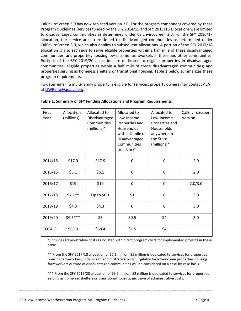Program Guidelines, services funded by the SFY 2014/15 and SFY 2015/16 allocations were limited CalEnviroScreen 3.0, which also applies to subsequent allocations. A portion of the SFY 2017/18 allocation is also set aside to serve eligible properties within a half mile of these disadvantaged properties serving as homeless shelters or transitional housing. Table 1 below summarizes these CalEnviroScreen 3.0 has now replaced version 2.0. For the program component covered by these to disadvantaged communities as determined under CalEnviroScreen 2.0. For the SFY 2016/17 allocation, the service area transitioned to disadvantaged communities as determined under communities, and properties housing low-income farmworkers in these and other communities. Portions of the SFY 2019/20 allocation are dedicated to eligible properties in disadvantaged communities; eligible properties within a half mile of these disadvantaged communities; and program requirements.

 To determine if a multi-family property is eligible for services, property owners may contact AEA at [LIWPinfo@aea.us.org.](mailto:LIWPinfo@aea.us.org)

| Fiscal<br>Year | Allocation<br>(millions) | Allocated to<br>Disadvantaged<br>Communities<br>(millions)* | Allocated to<br>Low-Income<br>Properties and<br><b>Households</b><br>within 1/2 mile of<br>Disadvantaged<br>Communities<br>(millions)* | Allocated to<br>Low-Income<br>Properties and<br><b>Households</b><br>anywhere in<br>the State<br>(millions)* | CalEnviroScreen<br>Version |
|----------------|--------------------------|-------------------------------------------------------------|----------------------------------------------------------------------------------------------------------------------------------------|--------------------------------------------------------------------------------------------------------------|----------------------------|
| 2014/15        | \$17.9                   | \$17.9                                                      | 0                                                                                                                                      | $\mathbf 0$                                                                                                  | 2.0                        |
| 2015/16        | \$6.1                    | \$6.1                                                       | 0                                                                                                                                      | 0                                                                                                            | 2.0                        |
| 2016/17        | \$19                     | \$19                                                        | 0                                                                                                                                      | $\mathbf 0$                                                                                                  | 2.0/3.0                    |
| 2017/18        | $$7.1**$                 | Up to \$6.1                                                 | \$1                                                                                                                                    | 0                                                                                                            | 3.0                        |
| 2018/19        | \$4.3                    | \$4.3                                                       | 0                                                                                                                                      | 0                                                                                                            | 3.0                        |
| 2019/20        | $$9.5***$                | \$5                                                         | \$0.5                                                                                                                                  | \$4                                                                                                          | 3.0                        |
| <b>TOTALS</b>  | \$63.9                   | \$58.4                                                      | \$1.5                                                                                                                                  | \$4                                                                                                          |                            |

#### **Table 1: Summary of SFY Funding Allocations and Program Requirements**

\* Includes administrative costs associated with direct program costs for implemented projects in these areas.

\*\* From the SFY 2017/18 allocation of \$7.1 million, \$5 million is dedicated to services for properties housing farmworkers, inclusive of administrative costs. Eligibility for low-income properties housing farmworkers outside of disadvantaged communities will be considered on a case-by-case basis.

 \*\*\* From the SFY 2019/20 allocation of \$9.5 million, \$2 million is dedicated to services for properties serving as homeless shelters or transitional housing, inclusive of administrative costs.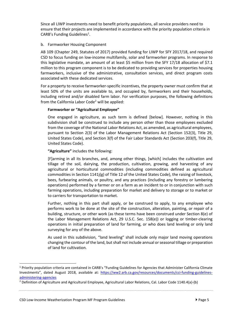Since all LIWP investments need to benefit priority populations, all service providers need to ensure that their projects are implemented in accordance with the priority population criteria in  $CARB's$  Funding Guidelines<sup>1</sup>.

#### b. Farmworker Housing Component

 this legislative mandate, an amount of at least \$5 million from the SFY 17/18 allocation of \$7.1 farmworkers, inclusive of the administrative, consultation services, and direct program costs associated with these dedicated services. AB 109 (Chapter 249, Statutes of 2017) provided funding for LIWP for SFY 2017/18, and required CSD to focus funding on low-income multifamily, solar and farmworker programs. In response to million to this program component is to be dedicated to providing services for properties housing

 least 50% of the units are available to, and occupied by, farmworkers and their households, For a property to receive farmworker-specific incentives, the property owner must confirm that at including retired and/or disabled farm labor. For verification purposes, the following definitions from the California Labor Code $2$  will be applied:

## **Farmworker or "Agricultural Employee"**

 from the coverage of the National Labor Relations Act, as amended, as agricultural employees, pursuant to Section 2(3) of the Labor Management Relations Act (Section 152(3), Title 29, One engaged in agriculture, as such term is defined [below]. However, nothing in this subdivision shall be construed to include any person other than those employees excluded United States Code), and Section 3(f) of the Fair Labor Standards Act (Section 203(f), Title 29, United States Code).

**"Agriculture"** includes the following:

 commodities in Section 1141j(g) of Title 12 of the United States Code), the raising of livestock, farming operations, including preparation for market and delivery to storage or to market or to carriers for transportation to market. [F]arming in all its branches, and, among other things, [which] includes the cultivation and tillage of the soil, dairying, the production, cultivation, growing, and harvesting of any agricultural or horticultural commodities (including commodities defined as agricultural bees, furbearing animals, or poultry, and any practices (including any forestry or lumbering operations) performed by a farmer or on a farm as an incident to or in conjunction with such

 Further, nothing in this part shall apply, or be construed to apply, to any employee who performs work to be done at the site of the construction, alteration, painting, or repair of a building, structure, or other work (as these terms have been construed under Section 8(e) of the Labor Management Relations Act, 29 U.S.C. Sec. 158(e)) or logging or timber-clearing operations in initial preparation of land for farming, or who does land leveling or only land surveying for any of the above.

 changing the contour of the land, but shall not include annual or seasonal tillage or preparation As used in this subdivision, "land leveling" shall include only major land moving operations of land for cultivation.

Investments", dated August 2018, available at: [https://ww2.arb.ca.gov/resources/documents/cci-funding-guidelines-](https://ww2.arb.ca.gov/resources/documents/cci-funding-guidelines-administering-agencies)1 Priority population criteria are contained in CARB's "Funding Guidelines for Agencies that Administer California Climate

<sup>&</sup>lt;u>administering-agencies</u><br><sup>2</sup> Definition of Agriculture and Agricultural Employee, Agricultural Labor Relations, Cal. Labor Code 1140.4(a)-(b)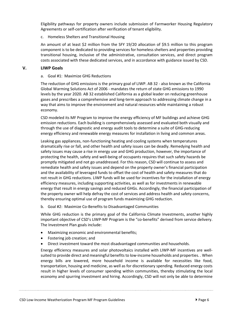Eligibility pathways for property owners include submission of Farmworker Housing Regulatory Agreements or self-certification after verification of tenant eligibility.

#### c. Homeless Shelters and Transitional Housing

 An amount of at least \$2 million from the SFY 19/20 allocation of \$9.5 million to this program component is to be dedicated to providing services for homeless shelters and properties providing transitional housing, inclusive of the administrative, consultation services, and direct program costs associated with these dedicated services, and in accordance with guidance issued by CSD.

#### **V. LIWP Goals**

#### a. Goal #1: Maximize GHG Reductions

 The reduction of GHG emissions is the primary goal of LIWP. AB 32 - also known as the California Global Warming Solutions Act of 2006 - mandates the return of state GHG emissions to 1990 gases and prescribes a comprehensive and long-term approach to addressing climate change in a way that aims to improve the environment and natural resources while maintaining a robust levels by the year 2020. AB 32 established California as a global leader on reducing greenhouse economy.

 CSD modeled its MF Program to improve the energy efficiency of MF buildings and achieve GHG emission reductions. Each building is comprehensively assessed and evaluated both visually and through the use of diagnostic and energy audit tools to determine a suite of GHG-reducing energy efficiency and renewable energy measures for installation in living and common areas.

 safety issues may cause a rise in energy use and GHG production, however, the importance of protecting the health, safety and well-being of occupants requires that such safety hazards be promptly mitigated and not go unaddressed. For this reason, CSD will continue to assess and not result in GHG reductions. LIWP funds will be used for incentives for the installation of energy efficiency measures, including supporting activities, as well as for investments in renewable energy that result in energy savings and reduced GHGs. Accordingly, the financial participation of the property owner will help defray the cost of services and address health and safety concerns, Leaking gas appliances, non-functioning heating and cooling systems when temperatures dramatically rise or fall, and other health and safety issues can be deadly. Remedying health and remediate health and safety issues and depend on the property owner's financial participation and the availability of leveraged funds to offset the cost of health and safety measures that do thereby ensuring optimal use of program funds maximizing GHG reduction.

b. Goal #2: Maximize Co-Benefits to Disadvantaged Communities

 While GHG reduction is the primary goal of the California Climate Investments, another highly important objective of CSD's LIWP-MF Program is the "co-benefits" derived from service delivery. The Investment Plan goals include:

- Maximizing economic and environmental benefits;
- Fostering job creation; and
- Direct investment toward the most disadvantaged communities and households.

Energy efficiency measures and solar photovoltaics installed with LIWP-MF incentives are wellsuited to provide direct and meaningful benefits to low-income households and properties. . When energy bills are lowered, more household income is available for necessities like food, transportation, housing and medicine, as well as for discretionary spending. Reduced energy costs result in higher levels of consumer spending within communities, thereby stimulating the local economy and spurring investment and hiring. Accordingly, CSD will not only be able to determine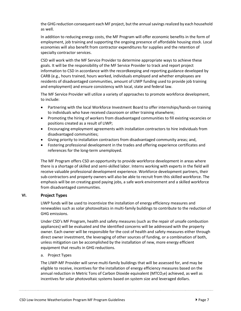the GHG reduction consequent each MF project, but the annual savings realized by each household as well.

 employment, job training and supporting the ongoing presence of affordable housing stock. Local economies will also benefit from contractor expenditures for supplies and the retention of In addition to reducing energy costs, the MF Program will offer economic benefits in the form of specialty contractor services.

 CSD will work with the MF Service Provider to determine appropriate ways to achieve these information to CSD in accordance with the recordkeeping and reporting guidance developed by CARB (e.g., hours trained, hours worked, individuals employed and whether employees are residents of disadvantaged communities, amount of LIWP funding used to provide job training and employment) and ensure consistency with local, state and federal law. goals. It will be the responsibility of the MF Service Provider to track and report project

 The MF Service Provider will utilize a variety of approaches to promote workforce development, to include:

- • Partnering with the local Workforce Investment Board to offer internships/hands-on training to individuals who have received classroom or other training elsewhere;
- • Promoting the hiring of workers from disadvantaged communities to fill existing vacancies or positions created as a result of LIWP;
- Encouraging employment agreements with installation contractors to hire individuals from disadvantaged communities;
- Giving priority to installation contractors from disadvantaged community areas; and,
- • Fostering professional development in the trades and offering experience certificates and references for the long-term unemployed.

 The MF Program offers CSD an opportunity to provide workforce development in areas where there is a shortage of skilled and semi-skilled labor. Interns working with experts in the field will sub-contractors and property owners will also be able to recruit from this skilled workforce. The emphasis will be on creating good paying jobs, a safe work environment and a skilled workforce from disadvantaged communities. receive valuable professional development experience. Workforce development partners, their

# **VI. Project Types**

 LIWP funds will be used to incentivize the installation of energy efficiency measures and renewables such as solar photovoltaics in multi-family buildings to contribute to the reduction of GHG emissions.

 Under CSD's MF Program, health and safety measures (such as the repair of unsafe combustion appliances) will be evaluated and the identified concerns will be addressed with the property owner. Each owner will be responsible for the cost of health and safety measures either through direct owner investment, the leveraging of other sources of funding, or a combination of both, unless mitigation can be accomplished by the installation of new, more energy efficient equipment that results in GHG reductions.

#### a. Project Types

 The LIWP-MF Provider will serve multi-family buildings that will be assessed for, and may be eligible to receive, incentives for the installation of energy efficiency measures based on the annual reduction in Metric Tons of Carbon Dioxide equivalent (MTCO<sub>2</sub>e) achieved, as well as incentives for solar photovoltaic systems based on system size and leveraged dollars.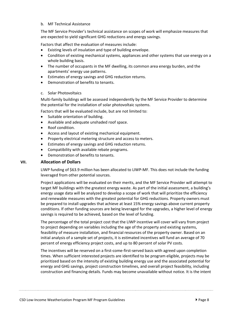#### b. MF Technical Assistance

 The MF Service Provider's technical assistance on scopes of work will emphasize measures that are expected to yield significant GHG reductions and energy savings.

Factors that affect the evaluation of measures include:

- Existing levels of insulation and type of building envelope.
- • Condition of existing mechanical systems, appliances and other systems that use energy on a whole building basis.
- • The number of occupants in the MF dwelling, its common area energy burden, and the apartments' energy use patterns.
- Estimates of energy savings and GHG reduction returns.
- Demonstration of benefits to tenants.
- c. Solar Photovoltaics

 Multi-family buildings will be assessed independently by the MF Service Provider to determine the potential for the installation of solar photovoltaic systems.

Factors that will be evaluated include, but are not limited to:

- Suitable orientation of building.
- Available and adequate unshaded roof space.
- Roof condition.
- Access and layout of existing mechanical equipment.
- Property electrical metering structure and access to meters.
- Estimates of energy savings and GHG reduction returns.
- Compatibility with available rebate programs.
- Demonstration of benefits to tenants.

## **VII. Allocation of Dollars**

LIWP funding of \$63.9 million has been allocated to LIWP-MF. This does not include the funding leveraged from other potential sources.

 Project applications will be evaluated on their merits, and the MF Service Provider will attempt to energy usage data will be analyzed to develop a scope of work that will prioritize the efficiency be prepared to install upgrades that achieve at least 15% energy savings above current property savings is required to be achieved, based on the level of funding. target MF buildings with the greatest energy waste. As part of the initial assessment, a building's and renewable measures with the greatest potential for GHG reductions. Property owners must conditions. If other funding sources are being leveraged for the upgrades, a higher level of energy

 The percentage of the total project cost that the LIWP incentive will cover will vary from project to project depending on variables including the age of the property and existing systems, feasibility of measure installation, and financial resources of the property owner. Based on an initial analysis of a sample set of projects, it is estimated incentives will fund an average of 70 percent of energy efficiency project costs, and up to 80 percent of solar PV costs.

 The incentives will be reserved on a first-come-first-served basis with agreed upon completion times. When sufficient interested projects are identified to be program eligible, projects may be prioritized based on the intensity of existing building energy use and the associated potential for energy and GHG savings, project construction timelines, and overall project feasibility, including construction and financing details. Funds may become unavailable without notice. It is the intent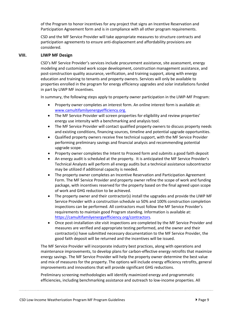of the Program to honor incentives for any project that signs an Incentive Reservation and Participation Agreement form and is in compliance with all other program requirements.

 CSD and the MF Service Provider will take appropriate measures to structure contracts and participation agreements to ensure anti-displacement and affordability provisions are considered.

#### **VIII. LIWP MF Design**

 CSD's MF Service Provider's services include procurement assistance, site assessment, energy modeling and customized work scope development, construction management assistance, and post-construction quality assurance, verification, and training support, along with energy education and training to tenants and property owners. Services will only be available to properties enrolled in the program for energy efficiency upgrades and solar installations funded in part by LIWP MF incentives.

In summary, the following steps apply to property owner participation in the LIWP-MF Program:

- • Property owner completes an interest form. An online interest form is available at: [www.camultifamilyenergyefficiency.org.](http://www.camultifamilyenergyefficiency.org/)
- energy use intensity with a benchmarking and analysis tool. • The MF Service Provider will screen properties for eligibility and review properties'
- • The MF Service Provider will contact qualified property owners to discuss property needs and existing conditions, financing sources, timeline and potential upgrade opportunities.
- • Qualified property owners receive free technical support, with the MF Service Provider performing preliminary savings and financial analysis and recommending potential upgrade scope.
- Property owner completes the Intent to Proceed form and submits a good faith deposit
- • An energy audit is scheduled at the property. It is anticipated the MF Service Provider's Technical Analysts will perform all energy audits but a technical assistance subcontractor may be utilized if additional capacity is needed.
- • The property owner completes an Incentive Reservation and Participation Agreement package, with incentives reserved for the property based on the final agreed upon scope of work and GHG reduction to be achieved. Form. The MF Service Provider and property owner refine the scope of work and funding
- • The property owner and their contractor(s) install the upgrades and provide the LIWP MF Service Provider with a construction schedule so 50% and 100% construction completion inspections can be performed. All contractors must follow the MF Service Provider's requirements to maintain good Program standing. Information is available at: [https://camultifamilyenergyefficiency.org/contractors.](https://camultifamilyenergyefficiency.org/contractors)
- measures are verified and appropriate testing performed, and the owner and their good faith deposit will be returned and the incentives will be issued. • Once post-installation site visit inspections are completed by the MF Service Provider and contractor(s) have submitted necessary documentation to the MF Service Provider, the

 The MF Service Provider will incorporate industry best practices, along with operations and energy savings. The MF Service Provider will help the property owner determine the best value and mix of measures for the property. The options will include energy efficiency retrofits, general maintenance improvements, to develop plans for carbon-effective energy retrofits that maximize improvements and innovations that will provide significant GHG reductions.

Preliminary screening methodologies will identify maximized energy and programmatic efficiencies, including benchmarking assistance and outreach to low-income properties. All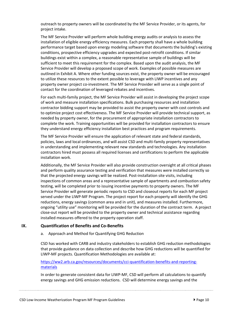outreach to property owners will be coordinated by the MF Service Provider, or its agents, for project intake.

 The MF Service Provider will perform whole building energy audits or analysis to assess the installation of eligible energy efficiency measures. Each property shall have a whole building performance target based upon energy modeling software that documents the building's existing conditions, prospective efficiency upgrades and expected post-retrofit conditions. If similar outlined in Exhibit A. Where other funding sources exist, the property owner will be encouraged property owner project co-investment. The MF Service Provider will serve as a single point of contact for the coordination of leveraged rebates and incentives. buildings exist within a complex, a reasonable representative sample of buildings will be sufficient to meet this requirement for the complex. Based upon the audit analysis, the MF Service Provider will develop a proposed scope of work. Examples of possible measures are to utilize these resources to the extent possible to leverage with LIWP incentives and any

 of work and measure installation specifications. Bulk purchasing resources and installation contractor bidding support may be provided to assist the property owner with cost controls and to optimize project cost effectiveness. The MF Service Provider will provide technical support, as complete the work. Training opportunities will be provided for installation contractors to ensure For each multi-family project, the MF Service Provider will assist in developing the project scope needed by property owner, for the procurement of appropriate installation contractors to they understand energy efficiency installation best practices and program requirements.

 The MF Service Provider will ensure the application of relevant state and federal standards, policies, laws and local ordinances, and will assist CSD and multi-family property representatives contractors hired must possess all required licenses and certifications to perform the applicable in understanding and implementing relevant new standards and technologies. Any installation installation work.

 Additionally, the MF Service Provider will also provide construction oversight at all critical phases and perform quality assurance testing and verification that measures were installed correctly so testing, will be completed prior to issuing incentive payments to property owners. The MF Service Provider will generate periodic reports to CSD and closeout reports for each MF project reductions, energy savings (common area and in unit), and measures installed. Furthermore, ongoing "utility use" monitoring will be provided for the duration of the contract term. A project installed measures offered to the property operation staff. that the projected energy savings will be realized. Post-installation site visits, including inspections of common areas and a representative sample of apartments and combustion safety served under the LIWP-MF Program. The project report for each property will identify the GHG close-out report will be provided to the property owner and technical assistance regarding

# **IX. Quantification of Benefits and Co-Benefits**

a. Approach and Method for Quantifying GHG Reduction

 that provide guidance on data collection and describe how GHG reductions will be quantified for LIWP-MF projects. Quantification Methodologies are available at: CSD has worked with CARB and industry stakeholders to establish GHG reduction methodologies

## [https://ww2.arb.ca.gov/resources/documents/cci-quantification-benefits-and-reporting](https://ww2.arb.ca.gov/resources/documents/cci-quantification-benefits-and-reporting-materials)materials

 energy savings and GHG emission reductions. CSD will determine energy savings and the In order to generate consistent data for LIWP-MF, CSD will perform all calculations to quantify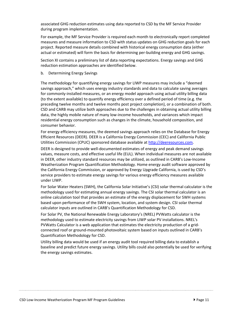during program implementation. associated GHG reduction estimates using data reported to CSD by the MF Service Provider

For example, the MF Service Provider is required each month to electronically report completed measures and measure information to CSD with status updates on GHG reduction goals for each project. Reported measure details combined with historical energy consumption data (either actual or estimated) will form the basis for determining per-building energy and GHG savings.

Section XI contains a preliminary list of data reporting expectations. Energy savings and GHG reduction estimation approaches are identified below.

b. Determining Energy Savings

 The methodology for quantifying energy savings for LIWP measures may include a "deemed (to the extent available) to quantify energy efficiency over a defined period of time (e.g. the residential energy consumption such as changes in the climate, household composition, and consumer behavior. savings approach," which uses energy industry standards and data to calculate saving averages for commonly-installed measures, or an energy model approach using actual utility billing data preceding twelve months and twelve months post project completion), or a combination of both. CSD and CARB may utilize both approaches due to the challenges in obtaining actual utility billing data, the highly mobile nature of many low-income households, and variances which impact

 For energy efficiency measures, the deemed savings approach relies on the Database for Energy Efficient Resources (DEER). DEER is a California Energy Commission (CEC) and California Public Utilities Commission (CPUC) sponsored database available at [http://deeresources.com.](http://deeresources.com/)

DEER is designed to provide well-documented estimates of energy and peak demand savings values, measure costs, and effective useful life (EUL). When individual measures are not available in DEER, other industry standard resources may be utilized, as outlined in CARB's Low-Income Weatherization Program Quantification Methodology. Home energy audit software approved by the California Energy Commission, or approved by Energy Upgrade California, is used by CSD's service providers to estimate energy savings for various energy efficiency measures available under LIWP.

 For Solar Water Heaters (SWH), the California Solar Initiative's (CSI) solar thermal calculator is the online calculation tool that provides an estimate of the energy displacement for SWH systems methodology used for estimating annual energy savings. The CSI solar thermal calculator is an based upon performance of the SWH system, location, and system design. CSI solar thermal calculator inputs are outlined in CARB's Quantification Methodology for CSD.

 For Solar PV, the National Renewable Energy Laboratory's (NREL) PVWatts calculator is the methodology used to estimate electricity savings from LIWP solar PV installations. NREL's PVWatts Calculator is a web application that estimates the electricity production of a gridconnected roof or ground-mounted photovoltaic system based on inputs outlined in CARB's Quantification Methodology for CSD.

 Utility billing data would be used if an energy audit tool required billing data to establish a baseline and predict future energy savings. Utility bills could also potentially be used for verifying the energy savings estimates.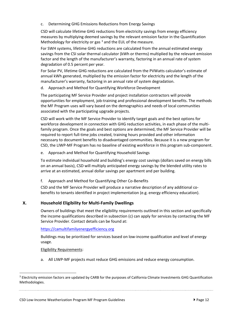c. Determining GHG Emissions Reductions from Energy Savings

 CSD will calculate lifetime GHG reductions from electricity savings from energy efficiency measures by multiplying deemed savings by the relevant emission factor in the Quantification Methodology for electricity or gas  $3$  and the EUL of the measure.

 For SWH systems, lifetime GHG reductions are calculated from the annual estimated energy savings from the CSI solar thermal calculator (kWh or therms) multiplied by the relevant emission factor and the length of the manufacturer's warranty, factoring in an annual rate of system degradation of 0.5 percent per year.

 For Solar PV, lifetime GHG reductions are calculated from the PVWatts calculator's estimate of annual kWh generated, multiplied by the emission factor for electricity and the length of the manufacturer's warranty, factoring in an annual rate of system degradation.

d. Approach and Method for Quantifying Workforce Development

 The participating MF Service Provider and project installation contractors will provide the MF Program uses will vary based on the demographics and needs of local communities opportunities for employment, job-training and professional development benefits. The methods associated with the participating upgrade projects.

 CSD will work with the MF Service Provider to identify target goals and the best options for workforce development in connection with GHG reduction activities, in each phase of the multi- family program. Once the goals and best options are determined, the MF Service Provider will be required to report full-time jobs created, training hours provided and other information CSD, the LIWP-MF Program has no baseline of existing workforce in this program sub-component. necessary to document benefits to disadvantaged communities. Because it is a new program for

e. Approach and Method for Quantifying Household Savings

 To estimate individual household and building's energy cost savings (dollars saved on energy bills on an annual basis), CSD will multiply anticipated energy savings by the blended utility rates to arrive at an estimated, annual dollar savings per apartment and per building.

f. Approach and Method for Quantifying Other Co-Benefits

 CSD and the MF Service Provider will produce a narrative description of any additional co-benefits to tenants identified in project implementation (e.g. energy efficiency education).

# **X. Household Eligibility for Multi-Family Dwellings**

 Owners of buildings that meet the eligibility requirements outlined in this section and specifically the income qualifications described in subsection (c) can apply for services by contacting the MF Service Provider. Contact details can be found at:

https://camultifamilyenergyefficiency.org

<u>https://camultifamilyenergyefficiency.org</u><br>Buildings may be prioritized for services based on low-income qualification and level of energy usage.

#### **Eligibility Requirements:**

a. All LIWP-MF projects must reduce GHG emissions and reduce energy consumption.

<sup>&</sup>lt;sup>3</sup> Electricity emission factors are updated by CARB for the purposes of California Climate Investments GHG Quantification Methodologies.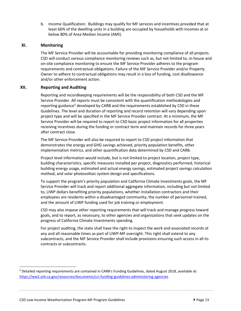b. Income Qualification: Buildings may qualify for MF services and incentives provided that at least 66% of the dwelling units in a building are occupied by households with incomes at or below 80% of Area Median Income (AMI).

# **XI. Monitoring**

 CSD will conduct various compliance monitoring reviews such as, but not limited to, in-house and on-site compliance monitoring to ensure the MF Service Provider adheres to the program requirements and contractual obligations. Failure of the MF Service Provider and/or Property Owner to adhere to contractual obligations may result in a loss of funding, cost disallowance The MF Service Provider will be accountable for providing monitoring compliance of all projects. and/or other enforcement action.

#### **XII. Reporting and Auditing**

 Reporting and recordkeeping requirements will be the responsibility of both CSD and the MF Service Provider. All reports must be consistent with the quantification methodologies and reporting guidance<sup>4</sup> developed by CARB and the requirements established by CSD in these Guidelines. The level and duration of reporting and record retention will vary depending upon project type and will be specified in the MF Service Provider contract. At a minimum, the MF receiving incentives during the funding or contract term and maintain records for three years after contract close. Service Provider will be required to report to CSD basic project information for all properties

The MF Service Provider will also be required to report to CSD project information that demonstrates the energy and GHG savings achieved, priority population benefits, other implementation metrics, and other quantification data determined by CSD and CARB.

 Project level information would include, but is not limited to project location, project type, building characteristics, specific measures installed per project, diagnostics performed, historical building energy usage, estimated and actual energy savings, estimated project savings calculation method, and solar photovoltaic system design and specifications.

 Service Provider will track and report additional aggregate information, including but not limited employees are residents within a disadvantaged community, the number of personnel trained, and the amount of LIWP funding used for job training or employment. To support the program's priority population and California Climate Investments goals, the MF to, LIWP dollars benefiting priority populations, whether installation contractors and their

and the amount of LIWP funding used for job training or employment.<br>CSD may also impose other reporting requirements that will track and manage progress toward goals, and to report, as necessary, to other agencies and organizations that seek updates on the progress of California Climate Investments spending.

 For project auditing, the state shall have the right to inspect the work and associated records at subcontracts, and the MF Service Provider shall include provisions ensuring such access in all its any and all reasonable times as part of LIWP-MF oversight. This right shall extend to any contracts or subcontracts.

<sup>4</sup> Detailed reporting requirements are contained in CARB's Funding Guidelines, dated August 2018, available at: <https://ww2.arb.ca.gov/resources/documents/cci-funding-guidelines-administering-agencies>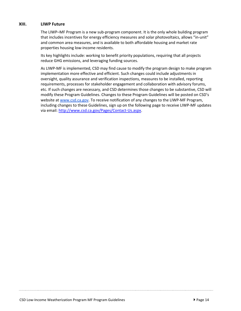# **XIII. LIWP Future**

 The LIWP–MF Program is a new sub-program component. It is the only whole building program properties housing low-income residents. that includes incentives for energy efficiency measures and solar photovoltaics, allows "in-unit" and common area measures, and is available to both affordable housing and market rate

 reduce GHG emissions, and leveraging funding sources. Its key highlights include: working to benefit priority populations, requiring that all projects

 As LIWP-MF is implemented, CSD may find cause to modify the program design to make program oversight, quality assurance and verification inspections, measures to be installed, reporting requirements, processes for stakeholder engagement and collaboration with advisory forums, etc. If such changes are necessary, and CSD determines those changes to be substantive, CSD will modify these Program Guidelines. Changes to these Program Guidelines will be posted on CSD's including changes to these Guidelines, sign up on the following page to receive LIWP-MF updates implementation more effective and efficient. Such changes could include adjustments in website a[t www.csd.ca.gov.](http://www.csd.ca.gov/) To receive notification of any changes to the LIWP-MF Program, via email:<http://www.csd.ca.gov/Pages/Contact-Us.aspx>.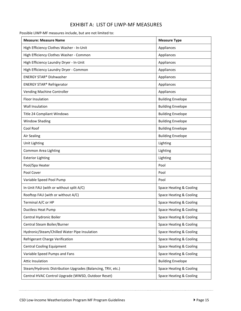# EXHIBIT A: LIST OF LIWP-MF MEASURES

Possible LIWP-MF measures include, but are not limited to:

| <b>Measure: Measure Name</b>                                | <b>Measure Type</b>      |
|-------------------------------------------------------------|--------------------------|
| High Efficiency Clothes Washer - In-Unit                    | Appliances               |
| High Efficiency Clothes Washer - Common                     | Appliances               |
| High Efficiency Laundry Dryer - In-Unit                     | Appliances               |
| High Efficiency Laundry Dryer - Common                      | Appliances               |
| <b>ENERGY STAR® Dishwasher</b>                              | Appliances               |
| <b>ENERGY STAR® Refrigerator</b>                            | Appliances               |
| Vending Machine Controller                                  | Appliances               |
| Floor Insulation                                            | <b>Building Envelope</b> |
| Wall Insulation                                             | <b>Building Envelope</b> |
| Title 24 Compliant Windows                                  | <b>Building Envelope</b> |
| <b>Window Shading</b>                                       | <b>Building Envelope</b> |
| Cool Roof                                                   | <b>Building Envelope</b> |
| Air Sealing                                                 | <b>Building Envelope</b> |
| Unit Lighting                                               | Lighting                 |
| Common Area Lighting                                        | Lighting                 |
| <b>Exterior Lighting</b>                                    | Lighting                 |
| Pool/Spa Heater                                             | Pool                     |
| Pool Cover                                                  | Pool                     |
| Variable Speed Pool Pump                                    | Pool                     |
| In-Unit FAU (with or without split A/C)                     | Space Heating & Cooling  |
| Rooftop FAU (with or without A/C)                           | Space Heating & Cooling  |
| Terminal A/C or HP                                          | Space Heating & Cooling  |
| <b>Ductless Heat Pump</b>                                   | Space Heating & Cooling  |
| Central Hydronic Boiler                                     | Space Heating & Cooling  |
| Central Steam Boiler/Burner                                 | Space Heating & Cooling  |
| Hydronic/Steam/Chilled Water Pipe Insulation                | Space Heating & Cooling  |
| Refrigerant Charge Verification                             | Space Heating & Cooling  |
| <b>Central Cooling Equipment</b>                            | Space Heating & Cooling  |
| Variable Speed Pumps and Fans                               | Space Heating & Cooling  |
| <b>Attic Insulation</b>                                     | <b>Building Envelope</b> |
| Steam/Hydronic Distribution Upgrades (Balancing, TRV, etc.) | Space Heating & Cooling  |
| Central HVAC Control Upgrade (WWSD, Outdoor Reset)          | Space Heating & Cooling  |